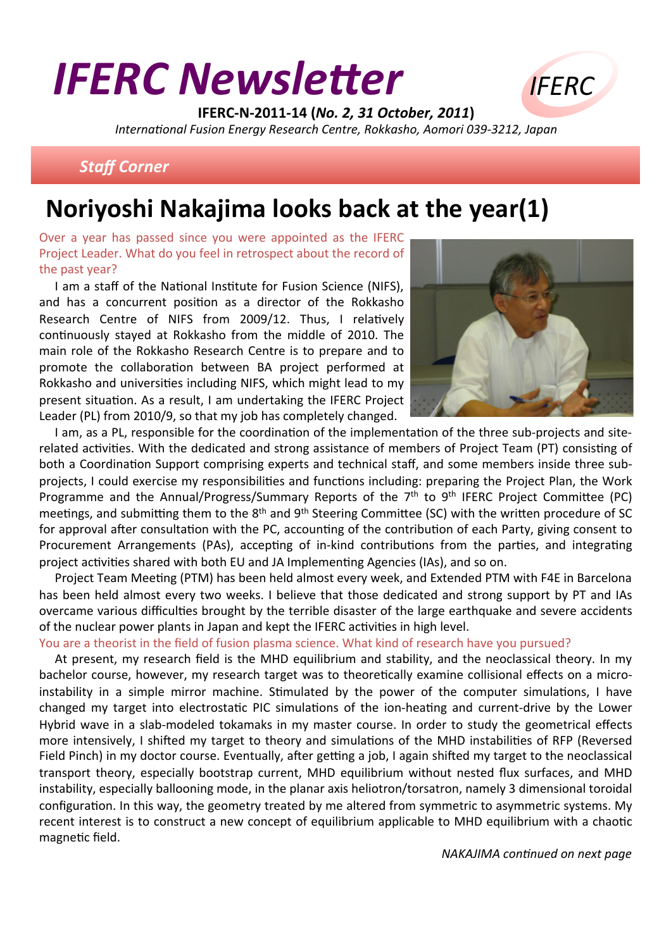# **IFERC Newsletter**



IFERC-N-2011-14 (No. 2, 31 October, 2011) International Fusion Energy Research Centre, Rokkasho, Aomori 039-3212, Japan

### **Staff Corner**

# Noriyoshi Nakajima looks back at the year(1)

Over a year has passed since you were appointed as the IFERC Project Leader. What do you feel in retrospect about the record of the past year?

I am a staff of the National Institute for Fusion Science (NIFS), and has a concurrent position as a director of the Rokkasho Research Centre of NIFS from 2009/12. Thus. I relatively continuously stayed at Rokkasho from the middle of 2010. The main role of the Rokkasho Research Centre is to prepare and to promote the collaboration between BA project performed at Rokkasho and universities including NIFS, which might lead to my present situation. As a result, I am undertaking the IFERC Project Leader (PL) from 2010/9, so that my job has completely changed.



I am, as a PL, responsible for the coordination of the implementation of the three sub-projects and siterelated activities. With the dedicated and strong assistance of members of Project Team (PT) consisting of both a Coordination Support comprising experts and technical staff, and some members inside three subprojects, I could exercise my responsibilities and functions including: preparing the Project Plan, the Work Programme and the Annual/Progress/Summary Reports of the 7th to 9th IFERC Project Committee (PC) meetings, and submitting them to the 8<sup>th</sup> and 9<sup>th</sup> Steering Committee (SC) with the written procedure of SC for approval after consultation with the PC, accounting of the contribution of each Party, giving consent to Procurement Arrangements (PAs), accepting of in-kind contributions from the parties, and integrating project activities shared with both EU and JA Implementing Agencies (IAs), and so on.

Project Team Meeting (PTM) has been held almost every week, and Extended PTM with F4E in Barcelona has been held almost every two weeks. I believe that those dedicated and strong support by PT and IAs overcame various difficulties brought by the terrible disaster of the large earthquake and severe accidents of the nuclear power plants in Japan and kept the IFERC activities in high level.

#### You are a theorist in the field of fusion plasma science. What kind of research have you pursued?

At present, my research field is the MHD equilibrium and stability, and the neoclassical theory. In my bachelor course, however, my research target was to theoretically examine collisional effects on a microinstability in a simple mirror machine. Stimulated by the power of the computer simulations, I have changed my target into electrostatic PIC simulations of the ion-heating and current-drive by the Lower Hybrid wave in a slab-modeled tokamaks in my master course. In order to study the geometrical effects more intensively, I shifted my target to theory and simulations of the MHD instabilities of RFP (Reversed Field Pinch) in my doctor course. Eventually, after getting a job, I again shifted my target to the neoclassical transport theory, especially bootstrap current, MHD equilibrium without nested flux surfaces, and MHD instability, especially ballooning mode, in the planar axis heliotron/torsatron, namely 3 dimensional toroidal configuration. In this way, the geometry treated by me altered from symmetric to asymmetric systems. My recent interest is to construct a new concept of equilibrium applicable to MHD equilibrium with a chaotic magnetic field.

NAKAJIMA continued on next page